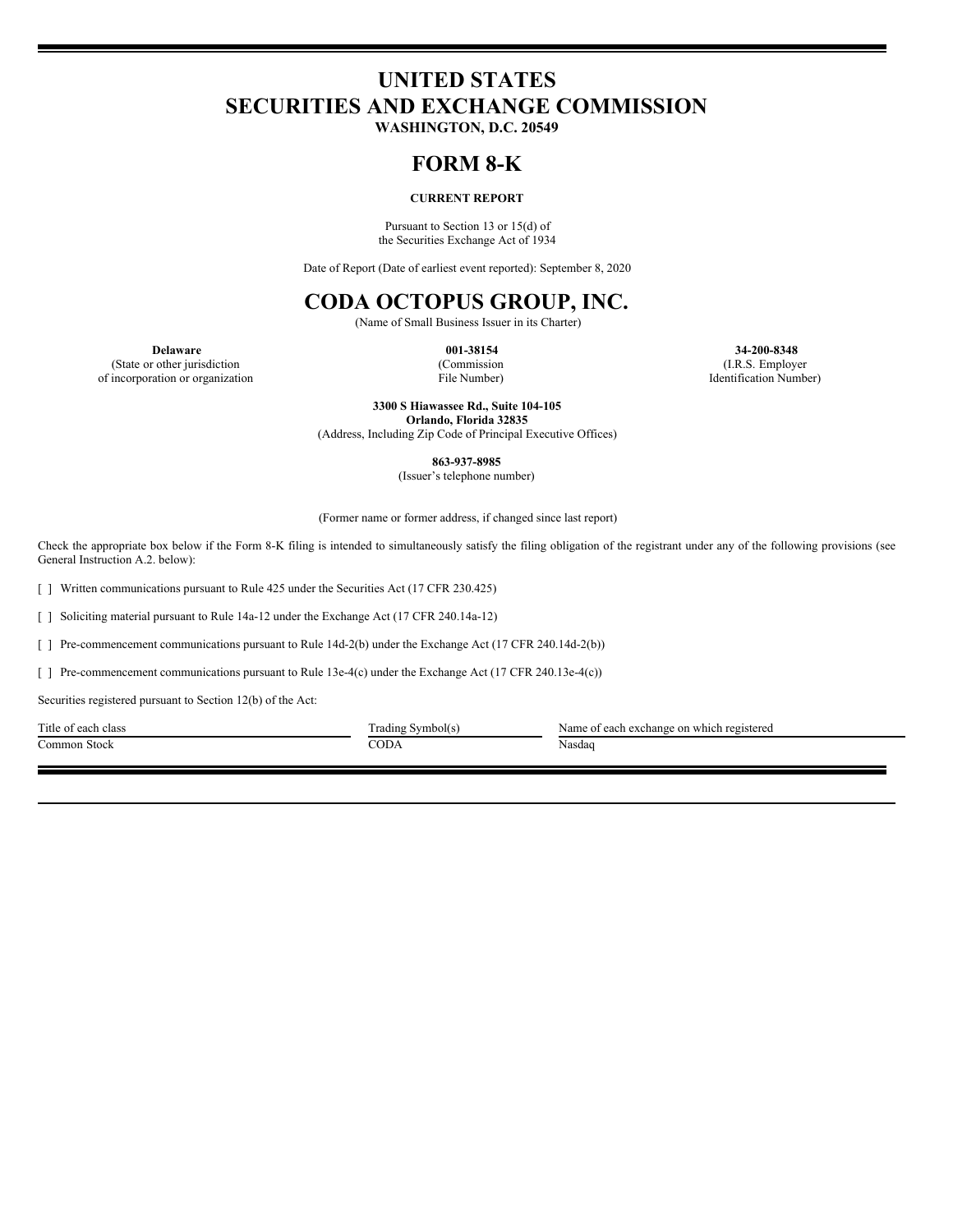# **UNITED STATES SECURITIES AND EXCHANGE COMMISSION**

**WASHINGTON, D.C. 20549**

### **FORM 8-K**

### **CURRENT REPORT**

Pursuant to Section 13 or 15(d) of the Securities Exchange Act of 1934

Date of Report (Date of earliest event reported): September 8, 2020

## **CODA OCTOPUS GROUP, INC.**

(Name of Small Business Issuer in its Charter)

(State or other jurisdiction of incorporation or organization (Commission File Number)

**Delaware 001-38154 34-200-8348** (I.R.S. Employer Identification Number)

> **3300 S Hiawassee Rd., Suite 104-105 Orlando, Florida 32835**

(Address, Including Zip Code of Principal Executive Offices)

**863-937-8985**

(Issuer's telephone number)

(Former name or former address, if changed since last report)

Check the appropriate box below if the Form 8-K filing is intended to simultaneously satisfy the filing obligation of the registrant under any of the following provisions (see General Instruction A.2. below):

[ ] Written communications pursuant to Rule 425 under the Securities Act (17 CFR 230.425)

[ ] Soliciting material pursuant to Rule 14a-12 under the Exchange Act (17 CFR 240.14a-12)

[ ] Pre-commencement communications pursuant to Rule 14d-2(b) under the Exchange Act (17 CFR 240.14d-2(b))

[ ] Pre-commencement communications pursuant to Rule 13e-4(c) under the Exchange Act (17 CFR 240.13e-4(c))

Securities registered pursuant to Section 12(b) of the Act:

Common Stock Nasdaq Nasdaq CODA Nasdaq Nasdaq Nasdaq Reserves the CODA Nasdaq Nasdaq Nasdaq Nasdaq Nasdaq Nasdaq Nasdaq Nasdaq Nasdaq Nasdaq Nasdaq Nasdaq Nasdaq Nasdaq Nasdaq Nasdaq Nasdaq Nasdaq Nasdaq Nasdaq Nasdaq Nasd

Title of each class Trading Symbol(s) Name of each exchange on which registered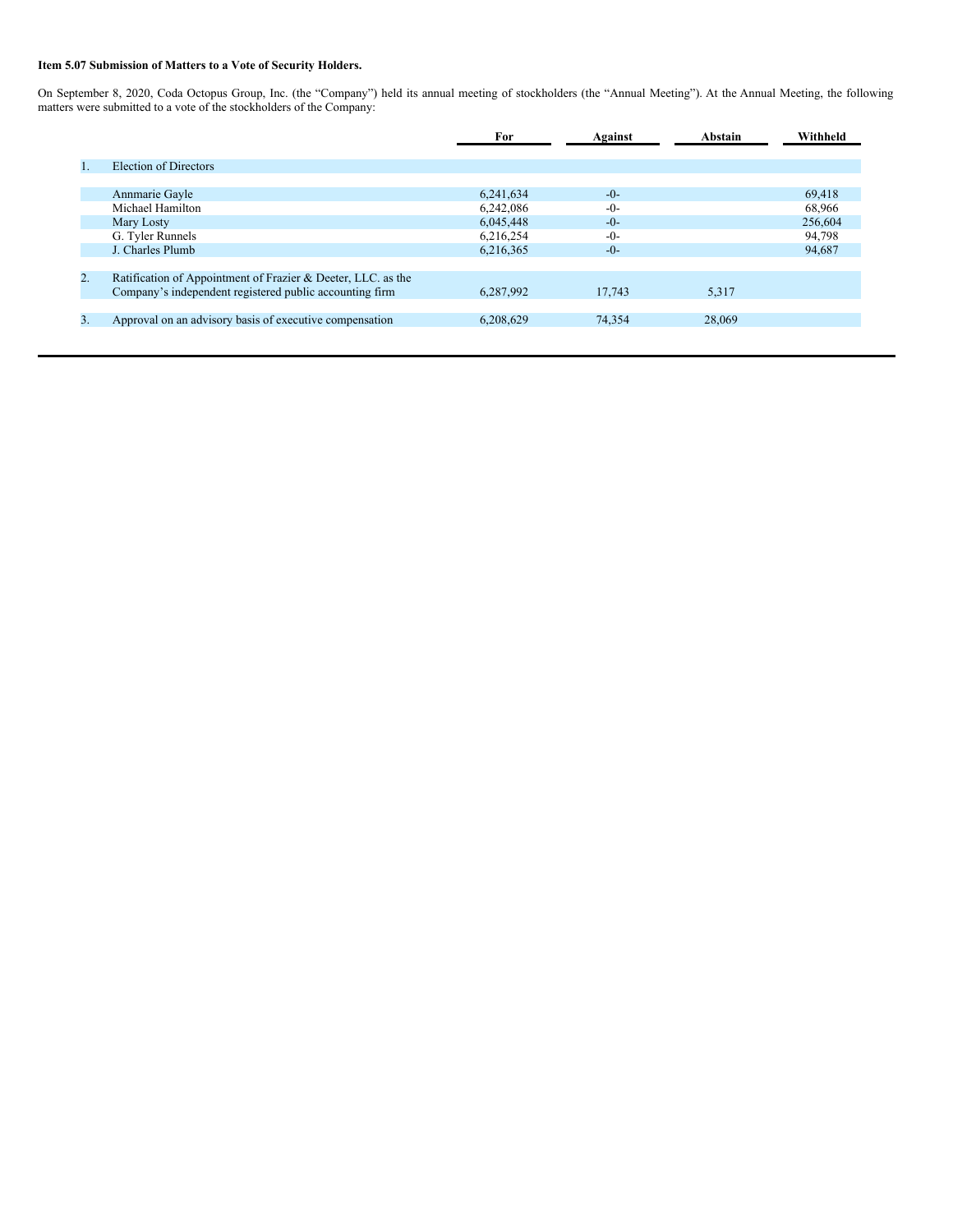### **Item 5.07 Submission of Matters to a Vote of Security Holders.**

On September 8, 2020, Coda Octopus Group, Inc. (the "Company") held its annual meeting of stockholders (the "Annual Meeting"). At the Annual Meeting, the following matters were submitted to a vote of the stockholders of the Company:

|         |                                                              | For       | Against | Abstain | Withheld |
|---------|--------------------------------------------------------------|-----------|---------|---------|----------|
|         |                                                              |           |         |         |          |
| $1_{-}$ | Election of Directors                                        |           |         |         |          |
|         |                                                              |           |         |         |          |
|         | Annmarie Gayle                                               | 6,241,634 | $-0-$   |         | 69.418   |
|         | Michael Hamilton                                             | 6,242,086 | $-0-$   |         | 68,966   |
|         | Mary Losty                                                   | 6,045,448 | $-0-$   |         | 256,604  |
|         | G. Tyler Runnels                                             | 6,216,254 | $-0-$   |         | 94,798   |
|         | J. Charles Plumb                                             | 6,216,365 | $-0-$   |         | 94,687   |
|         |                                                              |           |         |         |          |
| 2.      | Ratification of Appointment of Frazier & Deeter, LLC. as the |           |         |         |          |
|         | Company's independent registered public accounting firm      | 6,287,992 | 17.743  | 5,317   |          |
|         |                                                              |           |         |         |          |
| 3.      | Approval on an advisory basis of executive compensation      | 6,208,629 | 74.354  | 28,069  |          |
|         |                                                              |           |         |         |          |